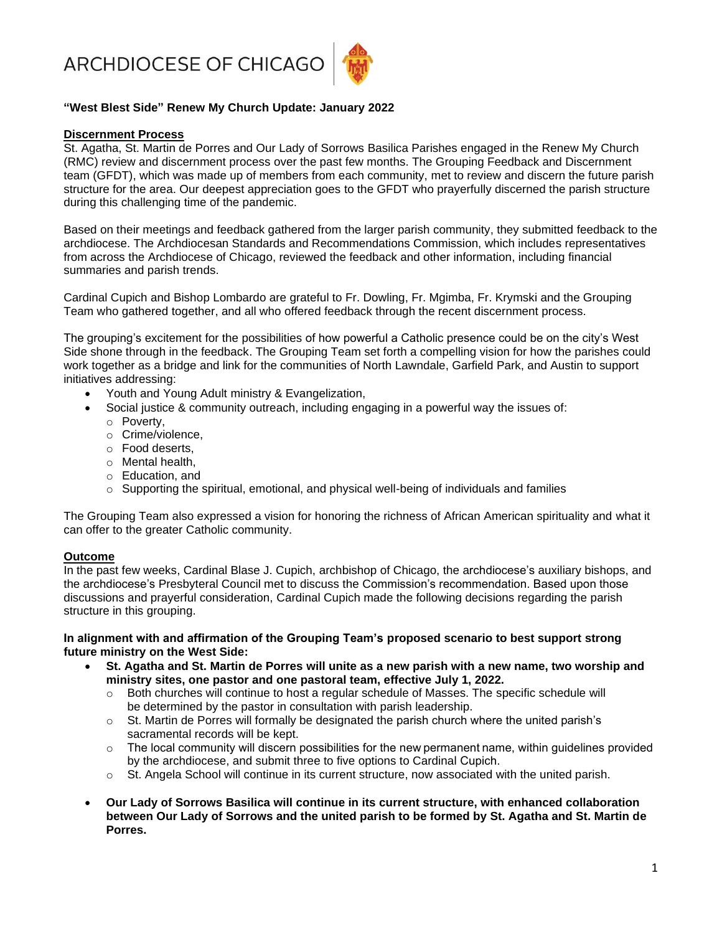ARCHDIOCESE OF CHICAGO



# **"West Blest Side" Renew My Church Update: January 2022**

## **Discernment Process**

St. Agatha, St. Martin de Porres and Our Lady of Sorrows Basilica Parishes engaged in the Renew My Church (RMC) review and discernment process over the past few months. The Grouping Feedback and Discernment team (GFDT), which was made up of members from each community, met to review and discern the future parish structure for the area. Our deepest appreciation goes to the GFDT who prayerfully discerned the parish structure during this challenging time of the pandemic.

Based on their meetings and feedback gathered from the larger parish community, they submitted feedback to the archdiocese. The Archdiocesan Standards and Recommendations Commission, which includes representatives from across the Archdiocese of Chicago, reviewed the feedback and other information, including financial summaries and parish trends.

Cardinal Cupich and Bishop Lombardo are grateful to Fr. Dowling, Fr. Mgimba, Fr. Krymski and the Grouping Team who gathered together, and all who offered feedback through the recent discernment process.

The grouping's excitement for the possibilities of how powerful a Catholic presence could be on the city's West Side shone through in the feedback. The Grouping Team set forth a compelling vision for how the parishes could work together as a bridge and link for the communities of North Lawndale, Garfield Park, and Austin to support initiatives addressing:

- Youth and Young Adult ministry & Evangelization,
- Social justice & community outreach, including engaging in a powerful way the issues of: o Poverty,
	- o Crime/violence,
	- o Food deserts,
	- o Mental health,
	- o Education, and
	- $\circ$  Supporting the spiritual, emotional, and physical well-being of individuals and families

The Grouping Team also expressed a vision for honoring the richness of African American spirituality and what it can offer to the greater Catholic community.

## **Outcome**

In the past few weeks, Cardinal Blase J. Cupich, archbishop of Chicago, the archdiocese's auxiliary bishops, and the archdiocese's Presbyteral Council met to discuss the Commission's recommendation. Based upon those discussions and prayerful consideration, Cardinal Cupich made the following decisions regarding the parish structure in this grouping.

#### **In alignment with and affirmation of the Grouping Team's proposed scenario to best support strong future ministry on the West Side:**

- **St. Agatha and St. Martin de Porres will unite as a new parish with a new name, two worship and ministry sites, one pastor and one pastoral team, effective July 1, 2022.**
	- $\circ$  Both churches will continue to host a regular schedule of Masses. The specific schedule will be determined by the pastor in consultation with parish leadership.
	- o St. Martin de Porres will formally be designated the parish church where the united parish's sacramental records will be kept.
	- $\circ$  The local community will discern possibilities for the new permanent name, within quidelines provided by the archdiocese, and submit three to five options to Cardinal Cupich.
	- $\circ$  St. Angela School will continue in its current structure, now associated with the united parish.
- **Our Lady of Sorrows Basilica will continue in its current structure, with enhanced collaboration between Our Lady of Sorrows and the united parish to be formed by St. Agatha and St. Martin de Porres.**